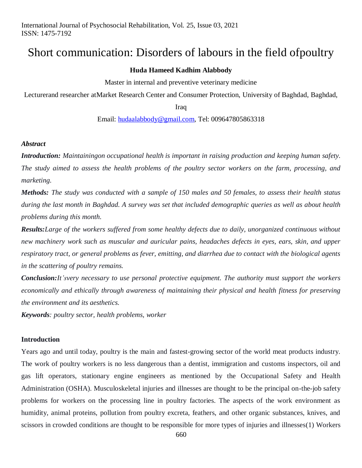# Short communication: Disorders of labours in the field ofpoultry

#### **Huda Hameed Kadhim Alabbody**

Master in internal and preventive veterinary medicine

Lecturerand researcher atMarket Research Center and Consumer Protection, University of Baghdad, Baghdad,

Iraq

Email: [hudaalabbody@gmail.com,](mailto:hudaalabbody@gmail.com) Tel: 009647805863318

## *Abstract*

*Introduction: Maintainingon occupational health is important in raising production and keeping human safety. The study aimed to assess the health problems of the poultry sector workers on the farm, processing, and marketing.*

*Methods: The study was conducted with a sample of 150 males and 50 females, to assess their health status during the last month in Baghdad. A survey was set that included demographic queries as well as about health problems during this month.* 

*Results:Large of the workers suffered from some healthy defects due to daily, unorganized continuous without new machinery work such as muscular and auricular pains, headaches defects in eyes, ears, skin, and upper respiratory tract, or general problems as fever, emitting, and diarrhea due to contact with the biological agents in the scattering of poultry remains.*

*Conclusion:It'svery necessary to use personal protective equipment. The authority must support the workers economically and ethically through awareness of maintaining their physical and health fitness for preserving the environment and its aesthetics.*

*Keywords: poultry sector, health problems, worker*

## **Introduction**

Years ago and until today, poultry is the main and fastest-growing sector of the world meat products industry. The work of poultry workers is no less dangerous than a dentist, immigration and customs inspectors, oil and gas lift operators, stationary engine engineers as mentioned by the Occupational Safety and Health Administration (OSHA). Musculoskeletal injuries and illnesses are thought to be the principal on-the-job safety problems for workers on the processing line in poultry factories. The aspects of the work environment as humidity, animal proteins, pollution from poultry excreta, feathers, and other organic substances, knives, and scissors in crowded conditions are thought to be responsible for more types of injuries and illnesses(1) Workers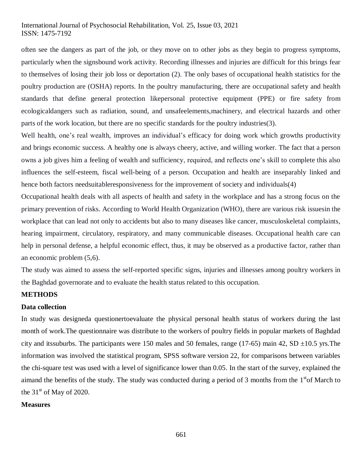## International Journal of Psychosocial Rehabilitation, Vol. 25, Issue 03, 2021 ISSN: 1475-7192

often see the dangers as part of the job, or they move on to other jobs as they begin to progress symptoms, particularly when the signsbound work activity. Recording illnesses and injuries are difficult for this brings fear to themselves of losing their job loss or deportation (2). The only bases of occupational health statistics for the poultry production are (OSHA) reports. In the poultry manufacturing, there are occupational safety and health standards that define general protection likepersonal protective equipment (PPE) or fire safety from ecologicaldangers such as radiation, sound, and unsafeelements,machinery, and electrical hazards and other parts of the work location, but there are no specific standards for the poultry industries(3).

Well health, one's real wealth, improves an individual's efficacy for doing work which growths productivity and brings economic success. A healthy one is always cheery, active, and willing worker. The fact that a person owns a job gives him a feeling of wealth and sufficiency, required, and reflects one's skill to complete this also influences the self-esteem, fiscal well-being of a person. Occupation and health are inseparably linked and hence both factors needsuitableresponsiveness for the improvement of society and individuals(4)

Occupational health deals with all aspects of health and safety in the workplace and has a strong focus on the primary prevention of risks. According to World Health Organization (WHO), there are various risk issuesin the workplace that can lead not only to accidents but also to many diseases like cancer, musculoskeletal complaints, hearing impairment, circulatory, respiratory, and many communicable diseases. Occupational health care can help in personal defense, a helpful economic effect, thus, it may be observed as a productive factor, rather than an economic problem (5,6).

The study was aimed to assess the self-reported specific signs, injuries and illnesses among poultry workers in the Baghdad governorate and to evaluate the health status related to this occupation.

## **METHODS**

#### **Data collection**

In study was designeda questionertoevaluate the physical personal health status of workers during the last month of work.The questionnaire was distribute to the workers of poultry fields in popular markets of Baghdad city and its suburbs. The participants were 150 males and 50 females, range (17-65) main 42, SD  $\pm$ 10.5 yrs. The information was involved the statistical program, SPSS software version 22, for comparisons between variables the chi-square test was used with a level of significance lower than 0.05. In the start of the survey, explained the aimand the benefits of the study. The study was conducted during a period of 3 months from the  $1<sup>st</sup>$ of March to the  $31<sup>st</sup>$  of May of 2020.

#### **Measures**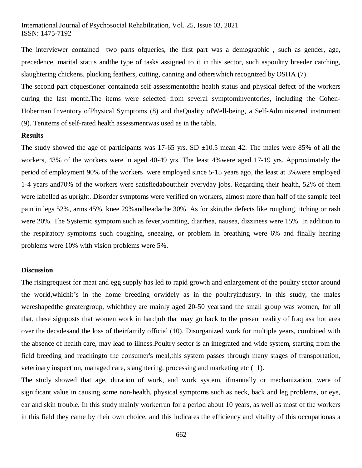The interviewer contained two parts ofqueries, the first part was a demographic , such as gender, age, precedence, marital status andthe type of tasks assigned to it in this sector, such aspoultry breeder catching, slaughtering chickens, plucking feathers, cutting, canning and otherswhich recognized by OSHA (7).

The second part ofquestioner containeda self assessmentofthe health status and physical defect of the workers during the last month.The items were selected from several symptominventories, including the Cohen-Hoberman Inventory ofPhysical Symptoms (8) and theQuality ofWell-being, a Self-Administered instrument (9). Tenitems of self-rated health assessmentwas used as in the table.

#### **Results**

The study showed the age of participants was 17-65 yrs. SD  $\pm 10.5$  mean 42. The males were 85% of all the workers, 43% of the workers were in aged 40-49 yrs. The least 4%were aged 17-19 yrs. Approximately the period of employment 90% of the workers were employed since 5-15 years ago, the least at 3%were employed 1-4 years and70% of the workers were satisfiedabouttheir everyday jobs. Regarding their health, 52% of them were labelled as upright. Disorder symptoms were verified on workers, almost more than half of the sample feel pain in legs 52%, arms 45%, knee 29%andheadache 30%. As for skin,the defects like roughing, itching or rash were 20%. The Systemic symptom such as fever,vomiting, diarrhea, nausea, dizziness were 15%. In addition to the respiratory symptoms such coughing, sneezing, or problem in breathing were 6% and finally hearing problems were 10% with vision problems were 5%.

#### **Discussion**

The risingrequest for meat and egg supply has led to rapid growth and enlargement of the poultry sector around the world,whichit's in the home breeding orwidely as in the poultryindustry. In this study, the males wereshapedthe greatergroup, whichthey are mainly aged 20-50 yearsand the small group was women, for all that, these signposts that women work in hardjob that may go back to the present reality of Iraq asa hot area over the decadesand the loss of theirfamily official (10). Disorganized work for multiple years, combined with the absence of health care, may lead to illness.Poultry sector is an integrated and wide system, starting from the field breeding and reachingto the consumer's meal,this system passes through many stages of transportation, veterinary inspection, managed care, slaughtering, processing and marketing etc (11).

The study showed that age, duration of work, and work system, ifmanually or mechanization, were of significant value in causing some non-health, physical symptoms such as neck, back and leg problems, or eye, ear and skin trouble. In this study mainly workerrun for a period about 10 years, as well as most of the workers in this field they came by their own choice, and this indicates the efficiency and vitality of this occupationas a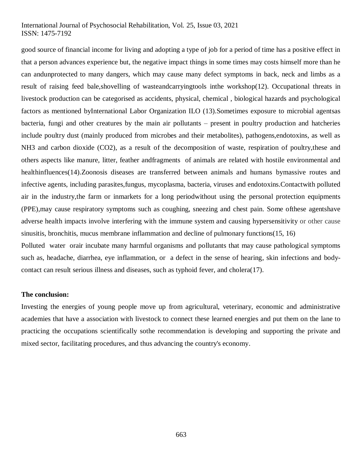## International Journal of Psychosocial Rehabilitation, Vol. 25, Issue 03, 2021 ISSN: 1475-7192

good source of financial income for living and adopting a type of job for a period of time has a positive effect in that a person advances experience but, the negative impact things in some times may costs himself more than he can andunprotected to many dangers, which may cause many defect symptoms in back, neck and limbs as a result of raising feed bale,shovelling of wasteandcarryingtools inthe workshop(12). Occupational threats in livestock production can be categorised as accidents, physical, chemical , biological hazards and psychological factors as mentioned byInternational Labor Organization ILO (13).Sometimes exposure to microbial agentsas bacteria, fungi and other creatures by the main air pollutants – present in poultry production and hatcheries include poultry dust (mainly produced from microbes and their metabolites), pathogens,endotoxins, as well as NH3 and carbon dioxide (CO2), as a result of the decomposition of waste, respiration of poultry,these and others aspects like manure, litter, feather andfragments of animals are related with hostile environmental and healthinfluences(14).Zoonosis diseases are transferred between animals and humans bymassive routes and infective agents, including parasites,fungus, mycoplasma, bacteria, viruses and endotoxins.Contactwith polluted air in the industry,the farm or inmarkets for a long periodwithout using the personal protection equipments (PPE),may cause respiratory symptoms such as coughing, sneezing and chest pain. Some ofthese agentshave adverse health impacts involve interfering with the immune system and causing hypersensitivity or other cause sinusitis, bronchitis, mucus membrane inflammation and decline of pulmonary functions(15, 16)

Polluted water orair incubate many harmful organisms and pollutants that may cause pathological symptoms such as, headache, diarrhea, eye inflammation, or a defect in the sense of hearing, skin infections and bodycontact can result serious illness and diseases, such as typhoid fever, and cholera(17).

#### **The conclusion:**

Investing the energies of young people move up from agricultural, veterinary, economic and administrative academies that have a association with livestock to connect these learned energies and put them on the lane to practicing the occupations scientifically sothe recommendation is developing and supporting the private and mixed sector, facilitating procedures, and thus advancing the country's economy.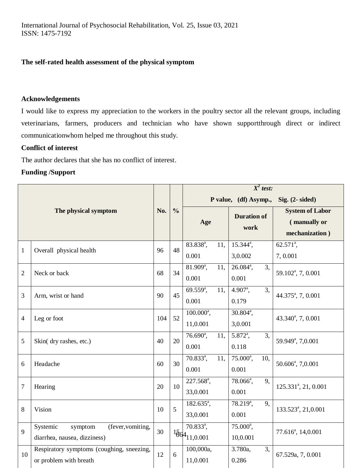## **The self-rated health assessment of the physical symptom**

## **Acknowledgements**

I would like to express my appreciation to the workers in the poultry sector all the relevant groups, including veterinarians, farmers, producers and technician who have shown supportthrough direct or indirect communicationwhom helped me throughout this study.

## **Conflict of interest**

The author declares that she has no conflict of interest.

## **Funding /Support**

| The physical symptom |                                           | No. | $\frac{0}{0}$ | $\overline{X^2}$ test:              |                             |                                                          |
|----------------------|-------------------------------------------|-----|---------------|-------------------------------------|-----------------------------|----------------------------------------------------------|
|                      |                                           |     |               |                                     | P value, (df) Asymp.,       | Sig. $(2 - \text{sided})$                                |
|                      |                                           |     |               | Age                                 | <b>Duration of</b><br>work  | <b>System of Labor</b><br>(manually or<br>mechanization) |
| $\mathbf{1}$         | Overall physical health                   | 96  | 48            | 83.838 <sup>a</sup> ,<br>11,        | $15.344^{\circ}$ ,          | $62.571^{\circ}$ ,                                       |
|                      |                                           |     |               | 0.001                               | 3,0.002                     | 7,0.001                                                  |
| $\overline{2}$       | Neck or back                              | 68  | 34            | $81.909^{\circ}$ ,<br>11,           | $26.084^a$ ,<br>3,          | 59.102 <sup>a</sup> , 7, 0.001                           |
|                      |                                           |     |               | 0.001                               | 0.001                       |                                                          |
| 3                    | Arm, wrist or hand                        | 90  | 45            | $69.559^{\circ}$ ,<br>11.           | $4.907^{\circ}$ ,<br>3,     | 44.375 <sup>a</sup> , 7, 0.001                           |
|                      |                                           |     |               | 0.001                               | 0.179                       |                                                          |
| $\overline{4}$       | Leg or foot                               | 104 | 52            | $100.000^a$ ,                       | $30.804^a$ ,                | 43.340 <sup>a</sup> , 7, 0.001                           |
|                      |                                           |     |               | 11,0.001                            | 3,0.001                     |                                                          |
| 5                    | Skin( dry rashes, etc.)                   | 40  | 20            | $76.690^{\circ}$ ,<br>11.           | $5.872^{\circ}$ ,<br>3,     | 59.949 <sup>a</sup> , 7,0.001                            |
|                      |                                           |     |               | 0.001                               | 0.118                       |                                                          |
| 6                    | Headache                                  | 60  | 30            | $70.833^{\circ}$ ,<br>11.           | $75.000^a$ ,<br>10.         | 50.606 <sup>a</sup> , 7,0.001                            |
|                      |                                           |     |               | 0.001                               | 0.001                       |                                                          |
| $\tau$               | Hearing                                   | 20  | 10            | 227.568 <sup>a</sup> ,              | 78.066 <sup>a</sup> ,<br>9, | 125.331 <sup>a</sup> , 21, 0.001                         |
|                      |                                           |     |               | 33,0.001                            | 0.001                       |                                                          |
| 8                    | Vision                                    | 10  | 5             | $182.635^{\circ}$ ,                 | $78.219^a$ ,<br>9,          | 133.523 <sup>a</sup> , 21,0.001                          |
|                      |                                           |     |               | 33,0.001                            | 0.001                       |                                                          |
| 9                    | Systemic<br>(fever, vomiting,<br>symptom  | 30  |               | $70.833^a$ ,                        | $75.000^a$ ,                | 77.616 <sup>a</sup> , 14,0.001                           |
|                      | diarrhea, nausea, dizziness)              |     |               | $^{156}$ <sup>4</sup> $_{11,0.001}$ | 10,0.001                    |                                                          |
| 10                   | Respiratory symptoms (coughing, sneezing, | 12  | 6             | 100,000a,                           | 3.780a,<br>3.               | 67.529a, 7, 0.001                                        |
|                      | or problem with breath                    |     |               | 11,0.001                            | 0.286                       |                                                          |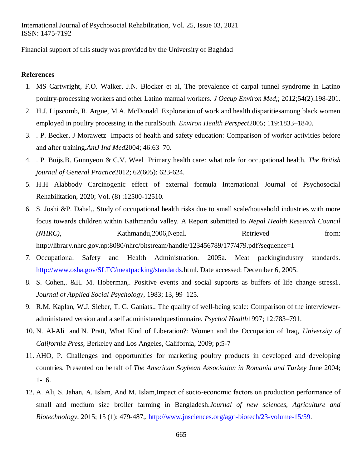Financial support of this study was provided by the University of Baghdad

#### **References**

- 1. MS Cartwright, F.O. Walker, J.N. Blocker et al, The prevalence of carpal tunnel syndrome in Latino poultry-processing workers and other Latino manual workers. *J Occup Environ Med*,; 2012;54(2):198-201.
- 2. H.J. Lipscomb, R. Argue, M.A. McDonald Exploration of work and health disparitiesamong black women employed in poultry processing in the ruralSouth. *Environ Health Perspect*2005; 119:1833–1840.
- 3. . P. Becker, J Morawetz Impacts of health and safety education: Comparison of worker activities before and after training.*AmJ Ind Med*2004; 46:63–70.
- 4. . P. Buijs,B. Gunnyeon & C.V. Weel Primary health care: what role for occupational health. *The British journal of General Practice*2012; 62(605): 623-624.
- 5. H.H Alabbody Carcinogenic effect of external formula International Journal of Psychosocial Rehabilitation, 2020; Vol. (8) :12500-12510.
- 6. S. Joshi &P. Dahal,. Study of occupational health risks due to small scale/household industries with more focus towards children within Kathmandu valley. A Report submitted to *Nepal Health Research Council (NHRC)*, Kathmandu,2006,Nepal. Retrieved from: http://library.nhrc.gov.np:8080/nhrc/bitstream/handle/123456789/177/479.pdf?sequence=1
- 7. Occupational Safety and Health Administration. 2005a. Meat packingindustry standards. [http://www.osha.gov/SLTC/meatpacking/standards.](http://www.osha.gov/SLTC/meatpacking/standards)html. Date accessed: December 6, 2005.
- 8. S. Cohen,. &H. M. Hoberman,. Positive events and social supports as buffers of life change stress1. *Journal of Applied Social Psychology*, 1983; 13, 99–125.
- 9. R.M. Kaplan, W.J. Sieber, T. G. Ganiats.. The quality of well-being scale: Comparison of the intervieweradministered version and a self administeredquestionnaire. *Psychol Health*1997; 12:783–791.
- 10. N. Al-Ali and N. Pratt, What Kind of Liberation?: Women and the Occupation of Iraq, *University of California Press,* Berkeley and Los Angeles, California, 2009; p;5-7
- 11. AHO, P. Challenges and opportunities for marketing poultry products in developed and developing countries. Presented on behalf of *The American Soybean Association in Romania and Turkey* June 2004; 1-16.
- 12. A. Ali, S. Jahan, A. Islam, And M. Islam,Impact of socio-economic factors on production performance of small and medium size broiler farming in Bangladesh.*Journal of new sciences, Agriculture and Biotechnology*, 2015; 15 (1): 479-487,. [http://www.jnsciences.org/agri-biotech/23-volume-15/59.](http://www.jnsciences.org/agri-biotech/23-volume-15/59)